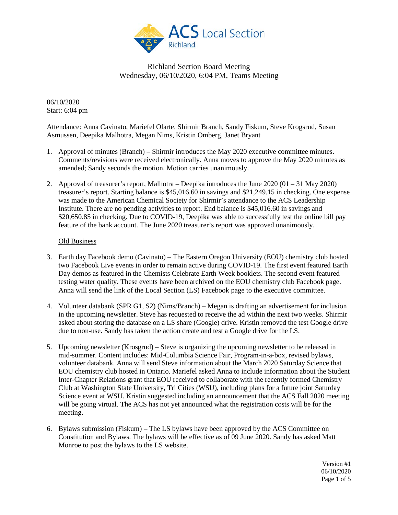

06/10/2020 Start: 6:04 pm

Attendance: Anna Cavinato, Mariefel Olarte, Shirmir Branch, Sandy Fiskum, Steve Krogsrud, Susan Asmussen, Deepika Malhotra, Megan Nims, Kristin Omberg, Janet Bryant

- 1. Approval of minutes (Branch) Shirmir introduces the May 2020 executive committee minutes. Comments/revisions were received electronically. Anna moves to approve the May 2020 minutes as amended; Sandy seconds the motion. Motion carries unanimously.
- 2. Approval of treasurer's report, Malhotra Deepika introduces the June 2020 (01 31 May 2020) treasurer's report. Starting balance is \$45,016.60 in savings and \$21,249.15 in checking. One expense was made to the American Chemical Society for Shirmir's attendance to the ACS Leadership Institute. There are no pending activities to report. End balance is \$45,016.60 in savings and \$20,650.85 in checking. Due to COVID-19, Deepika was able to successfully test the online bill pay feature of the bank account. The June 2020 treasurer's report was approved unanimously.

#### Old Business

- 3. Earth day Facebook demo (Cavinato) The Eastern Oregon University (EOU) chemistry club hosted two Facebook Live events in order to remain active during COVID-19. The first event featured Earth Day demos as featured in the Chemists Celebrate Earth Week booklets. The second event featured testing water quality. These events have been archived on the EOU chemistry club Facebook page. Anna will send the link of the Local Section (LS) Facebook page to the executive committee.
- 4. Volunteer databank (SPR G1, S2) (Nims/Branch) Megan is drafting an advertisement for inclusion in the upcoming newsletter. Steve has requested to receive the ad within the next two weeks. Shirmir asked about storing the database on a LS share (Google) drive. Kristin removed the test Google drive due to non-use. Sandy has taken the action create and test a Google drive for the LS.
- 5. Upcoming newsletter (Krosgrud) Steve is organizing the upcoming newsletter to be released in mid-summer. Content includes: Mid-Columbia Science Fair, Program-in-a-box, revised bylaws, volunteer databank. Anna will send Steve information about the March 2020 Saturday Science that EOU chemistry club hosted in Ontario. Mariefel asked Anna to include information about the Student Inter-Chapter Relations grant that EOU received to collaborate with the recently formed Chemistry Club at Washington State University, Tri Cities (WSU), including plans for a future joint Saturday Science event at WSU. Kristin suggested including an announcement that the ACS Fall 2020 meeting will be going virtual. The ACS has not yet announced what the registration costs will be for the meeting.
- 6. Bylaws submission (Fiskum) The LS bylaws have been approved by the ACS Committee on Constitution and Bylaws. The bylaws will be effective as of 09 June 2020. Sandy has asked Matt Monroe to post the bylaws to the LS website.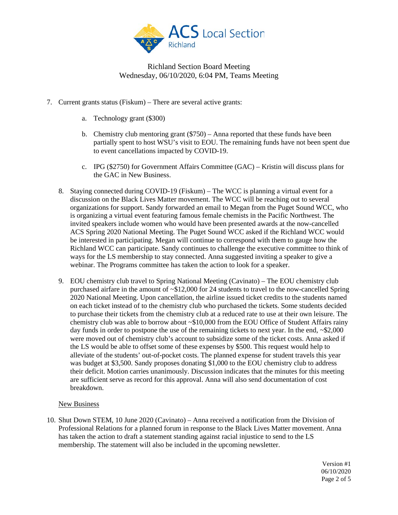

- 7. Current grants status (Fiskum) There are several active grants:
	- a. Technology grant (\$300)
	- b. Chemistry club mentoring grant (\$750) Anna reported that these funds have been partially spent to host WSU's visit to EOU. The remaining funds have not been spent due to event cancellations impacted by COVID-19.
	- c. IPG (\$2750) for Government Affairs Committee (GAC) Kristin will discuss plans for the GAC in New Business.
	- 8. Staying connected during COVID-19 (Fiskum) The WCC is planning a virtual event for a discussion on the Black Lives Matter movement. The WCC will be reaching out to several organizations for support. Sandy forwarded an email to Megan from the Puget Sound WCC, who is organizing a virtual event featuring famous female chemists in the Pacific Northwest. The invited speakers include women who would have been presented awards at the now-cancelled ACS Spring 2020 National Meeting. The Puget Sound WCC asked if the Richland WCC would be interested in participating. Megan will continue to correspond with them to gauge how the Richland WCC can participate. Sandy continues to challenge the executive committee to think of ways for the LS membership to stay connected. Anna suggested inviting a speaker to give a webinar. The Programs committee has taken the action to look for a speaker.
	- 9. EOU chemistry club travel to Spring National Meeting (Cavinato) The EOU chemistry club purchased airfare in the amount of ~\$12,000 for 24 students to travel to the now-cancelled Spring 2020 National Meeting. Upon cancellation, the airline issued ticket credits to the students named on each ticket instead of to the chemistry club who purchased the tickets. Some students decided to purchase their tickets from the chemistry club at a reduced rate to use at their own leisure. The chemistry club was able to borrow about ~\$10,000 from the EOU Office of Student Affairs rainy day funds in order to postpone the use of the remaining tickets to next year. In the end,  $\approx 2,000$ were moved out of chemistry club's account to subsidize some of the ticket costs. Anna asked if the LS would be able to offset some of these expenses by \$500. This request would help to alleviate of the students' out-of-pocket costs. The planned expense for student travels this year was budget at \$3,500. Sandy proposes donating \$1,000 to the EOU chemistry club to address their deficit. Motion carries unanimously. Discussion indicates that the minutes for this meeting are sufficient serve as record for this approval. Anna will also send documentation of cost breakdown.

### New Business

10. Shut Down STEM, 10 June 2020 (Cavinato) – Anna received a notification from the Division of Professional Relations for a planned forum in response to the Black Lives Matter movement. Anna has taken the action to draft a statement standing against racial injustice to send to the LS membership. The statement will also be included in the upcoming newsletter.

> Version #1 06/10/2020 Page 2 of 5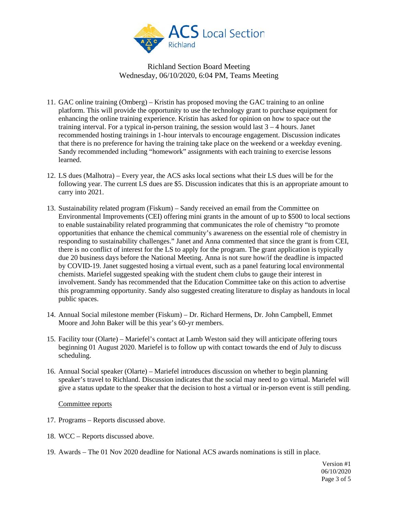

- 11. GAC online training (Omberg) Kristin has proposed moving the GAC training to an online platform. This will provide the opportunity to use the technology grant to purchase equipment for enhancing the online training experience. Kristin has asked for opinion on how to space out the training interval. For a typical in-person training, the session would last  $3 - 4$  hours. Janet recommended hosting trainings in 1-hour intervals to encourage engagement. Discussion indicates that there is no preference for having the training take place on the weekend or a weekday evening. Sandy recommended including "homework" assignments with each training to exercise lessons learned.
- 12. LS dues (Malhotra) Every year, the ACS asks local sections what their LS dues will be for the following year. The current LS dues are \$5. Discussion indicates that this is an appropriate amount to carry into 2021.
- 13. Sustainability related program (Fiskum) Sandy received an email from the Committee on Environmental Improvements (CEI) offering mini grants in the amount of up to \$500 to local sections to enable sustainability related programming that communicates the role of chemistry "to promote opportunities that enhance the chemical community's awareness on the essential role of chemistry in responding to sustainability challenges." Janet and Anna commented that since the grant is from CEI, there is no conflict of interest for the LS to apply for the program. The grant application is typically due 20 business days before the National Meeting. Anna is not sure how/if the deadline is impacted by COVID-19. Janet suggested hosing a virtual event, such as a panel featuring local environmental chemists. Mariefel suggested speaking with the student chem clubs to gauge their interest in involvement. Sandy has recommended that the Education Committee take on this action to advertise this programming opportunity. Sandy also suggested creating literature to display as handouts in local public spaces.
- 14. Annual Social milestone member (Fiskum) Dr. Richard Hermens, Dr. John Campbell, Emmet Moore and John Baker will be this year's 60-yr members.
- 15. Facility tour (Olarte) Mariefel's contact at Lamb Weston said they will anticipate offering tours beginning 01 August 2020. Mariefel is to follow up with contact towards the end of July to discuss scheduling.
- 16. Annual Social speaker (Olarte) Mariefel introduces discussion on whether to begin planning speaker's travel to Richland. Discussion indicates that the social may need to go virtual. Mariefel will give a status update to the speaker that the decision to host a virtual or in-person event is still pending.

#### Committee reports

- 17. Programs Reports discussed above.
- 18. WCC Reports discussed above.
- 19. Awards The 01 Nov 2020 deadline for National ACS awards nominations is still in place.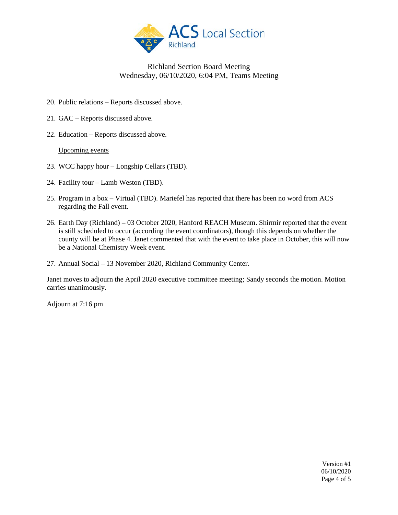

- 20. Public relations Reports discussed above.
- 21. GAC Reports discussed above.
- 22. Education Reports discussed above.

#### Upcoming events

- 23. WCC happy hour Longship Cellars (TBD).
- 24. Facility tour Lamb Weston (TBD).
- 25. Program in a box Virtual (TBD). Mariefel has reported that there has been no word from ACS regarding the Fall event.
- 26. Earth Day (Richland) 03 October 2020, Hanford REACH Museum. Shirmir reported that the event is still scheduled to occur (according the event coordinators), though this depends on whether the county will be at Phase 4. Janet commented that with the event to take place in October, this will now be a National Chemistry Week event.
- 27. Annual Social 13 November 2020, Richland Community Center.

Janet moves to adjourn the April 2020 executive committee meeting; Sandy seconds the motion. Motion carries unanimously.

Adjourn at 7:16 pm